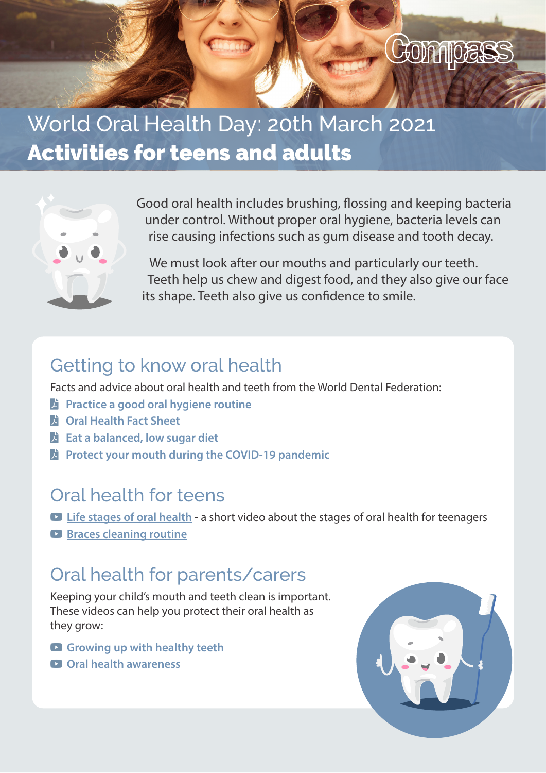

# World Oral Health Day: 20th March 2021 Activities for teens and adults



Good oral health includes brushing, flossing and keeping bacteria under control. Without proper oral hygiene, bacteria levels can rise causing infections such as gum disease and tooth decay.

We must look after our mouths and particularly our teeth. Teeth help us chew and digest food, and they also give our face its shape. Teeth also give us confidence to smile.

#### Getting to know oral health

Facts and advice about oral health and teeth from the World Dental Federation:

- **E** [Practice a good oral hygiene routine](https://www.worldoralhealthday.org/sites/default/files/2020-09/WOHD21-factsheet-oralhygiene-EN_0.pdf)
- **S** [Oral Health Fact Sheet](https://www.worldoralhealthday.org/sites/default/files/2020-09/WOHD21-factsheet-overallhealth-EN.pdf)
- **b** [Eat a balanced, low sugar diet](https://www.worldoralhealthday.org/sites/default/files/2020-09/WOHD21-factsheet-diet-EN.pdf)
- **E** [Protect your mouth during the COVID-19 pandemic](https://www.worldoralhealthday.org/sites/default/files/2021-01/WOHD21-factsheet-covid19-EN.pdf)

#### Oral health for teens

- $\bullet$  [Life stages of oral health a short video about the stages of oral health for teenagers](https://www.youtube.com/watch?v=7_MioRw-5QU)
- **[Braces cleaning routine](https://www.youtube.com/watch?v=GEgFNrxab4A)**

## Oral health for parents/carers

Keeping your child's mouth and teeth clean is important. These videos can help you protect their oral health as they grow:

- **Q** [Growing up with healthy teeth](https://youtu.be/QF5rUAI00mQ)
- **D** [Oral health awareness](https://www.youtube.com/watch?v=9Qa2K1CC3Hw)